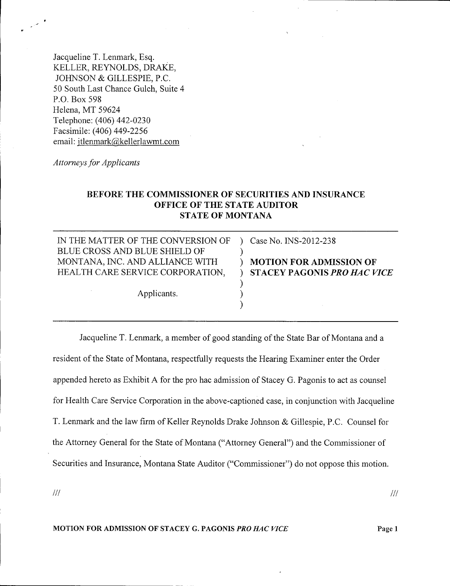Jacqueline T. Lenmark, Esq. KELLER, REYNOLDS, DRAKE, JOHNSON & GILLESPIE, P.C. 50 South Last Chance Gulch, Suite 4 P.O. Box 598 Helena, MT 59624 Telephone: (406) 442-0230 Facsimile: (406) 449-2256 email: [jtlenrnark@kellerlawmt.com](mailto:jtlenrnark@kellerlawmt.com)

*Attorneys for Applicants*

# BEFORE THE COMMISSIONER OF SECURITIES AND INSURANCE OFFICE OF THE STATE AUDITOR STATE OF MONTANA

)

| IN THE MATTER OF THE CONVERSION OF ) | Case No. INS-2012-238          |
|--------------------------------------|--------------------------------|
| BLUE CROSS AND BLUE SHIELD OF        |                                |
| MONTANA, INC. AND ALLIANCE WITH      | <b>MOTION FOR ADMISSION OF</b> |
| HEALTH CARE SERVICE CORPORATION,     | ) STACEY PAGONIS PRO HAC V     |
|                                      |                                |
| Applicants.                          |                                |

Jacqueline T. Lenrnark, a member of good standing of the State Bar of Montana and a resident of the State of Montana, respectfully requests the Hearing Examiner enter the Order appended hereto as Exhibit A for the pro hac admission of Stacey G. Pagonis to act as counsel for Health Care Service Corporation in the above-captioned case, in conjunction with Jacqueline T. Lenrnark and the law firm of Keller Reynolds Drake Johnson & Gillespie, P.C. Counsel for the Attorney General for the State of Montana ("Attorney General") and the Commissioner of Securities and Insurance, Montana State Auditor ("Commissioner") do not oppose this motion.

*III*

MOTION FOR ADMISSION OF STACEY G. PAGONIS *PRO HAC VICE*

Page 1

*III*

 $VICE$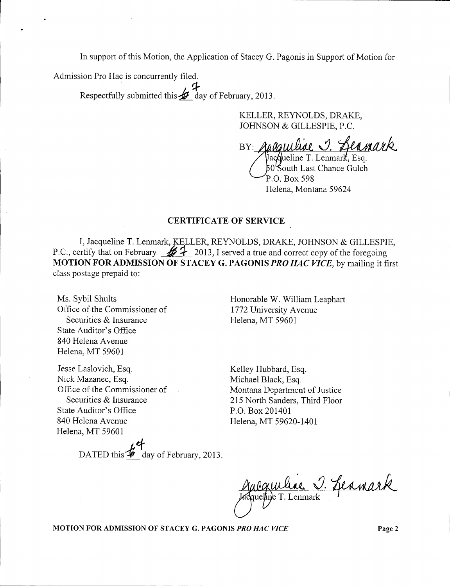In support of this Motion, the Application of Stacey G. Pagonis in Support of Motion for

Admission Pro Hac is concurrently filed. .  $\sim$   $\sim$   $\sim$ 

Respectfully submitted this  $\mathcal{L}$  day of February, 2013.

KELLER, REYNOLDS, DRAKE, JOHNSON & GILLESPIE, P.c.

racquilise J. Leanark  $BY:$ 

Jacqueline T. Lenmark, Esq.  $50\,$ South Last Chance Gulch P.O. Box 598 Helena, Montana 59624

### CERTIFICATE OF SERVICE

I, Jacqueline T. Lenmark, KELLER, REYNOLDS, DRAKE, JOHNSON & GILLESPIE, P.C., certify that on February  $\mathscr{B}$  + 2013, I served a true and correct copy of the foregoing MOTION FOR ADMISSION OF STACEY G. PAGONIS *PRO HAC VICE,* by mailing it first class postage prepaid to:

Ms. Sybil Shults Office of the Commissioner of Securities & Insurance State Auditor's Office 840 Helena Avenue Helena, MT 59601

Jesse Laslovich, Esq. Nick Mazanec, Esq. Office of the Commissioner of Securities & Insurance State Auditor's Office 840 Helena Avenue Helena, MT 59601

DATED this  $\overline{\mathcal{L}}$  day of February, 2013.

Honorable W. William Leaphart 1772 University Avenue Helena, MT 59601

Kelley Hubbard, Esq. Michael Black, Esq. Montana Department of Justice 215 North Sanders, Third Floor P.O. Box 201401 Helena, MT 59620-1401

algurance J. Leanark

MOTION FOR ADMISSION OF STACEY G. PAGONIS *PRO HAC VICE* Page 2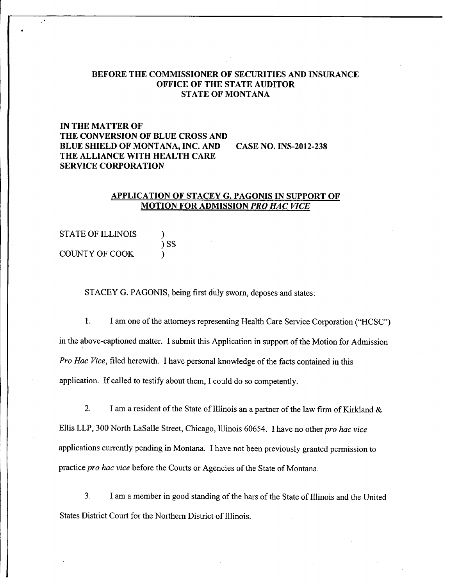### BEFORE THE COMMISSIONER OF SECURITIES AND INSURANCE OFFICE OF THE STATE AUDITOR STATE OF MONTANA

# IN THE MATTER OF THE CONVERSION OF BLUE CROSS AND BLUE SHIELD OF MONTANA, INC. AND CASE NO. INS-2012-238 THE ALLIANCE WITH HEALTH CARE SERVICE CORPORATION

#### APPLICATION OF STACEY G. PAGONIS IN SUPPORT OF MOTION FOR ADMISSION *PRO HAC VICE*

| <b>STATE OF ILLINOIS</b> |            |
|--------------------------|------------|
|                          | $\big)$ SS |
| COUNTY OF COOK           |            |

 $\ddot{\phantom{1}}$ 

STACEY G. PAGONIS, being first duly sworn, deposes and states:

1. I am one of the attorneys representing Health Care Service Corporation ("HCSC") in the above-captioned matter. I submit this Application in support of the Motion for Admission *Pro Hac Vice,* filed herewith. I have personal knowledge of the facts contained in this application. If called to testify about them, I could do so competently.

2. I am a resident of the State of Illinois an a partner of the law firm of Kirkland & Ellis LLP, 300 North LaSalle Street, Chicago, Illinois 60654. I have no other *pro hac vice* applications currently pending in Montana. I have not been previously granted permission to practice *pro hac vice* before the Courts or Agencies of the State of Montana.

3. I am a member in good standing of the bars of the State of Illinois and the United States District Court for the Northern District of Illinois.